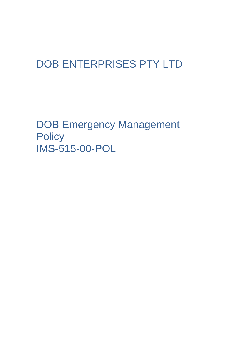## DOB ENTERPRISES PTY LTD

DOB Emergency Management **Policy** IMS-515-00-POL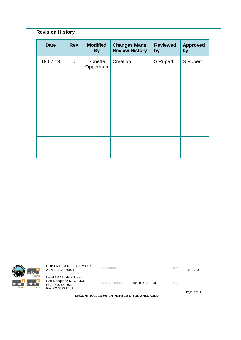## **Revision History**

| <b>Date</b> | <b>Rev</b>  | <b>Modified</b><br><b>By</b> | <b>Changes Made,</b><br><b>Review History</b> | <b>Reviewed</b><br>by | <b>Approved</b><br>by |
|-------------|-------------|------------------------------|-----------------------------------------------|-----------------------|-----------------------|
| 19.02.19    | $\mathbf 0$ | Sunette<br>Opperman          | Creation                                      | S Rupert              | <b>S</b> Rupert       |
|             |             |                              |                                               |                       |                       |
|             |             |                              |                                               |                       |                       |
|             |             |                              |                                               |                       |                       |
|             |             |                              |                                               |                       |                       |
|             |             |                              |                                               |                       |                       |
|             |             |                              |                                               |                       |                       |
|             |             |                              |                                               |                       |                       |
|             |             |                              |                                               |                       |                       |



**DOB ENTERPRISES PTY LTD**<br>ABN 20112 866001 **Revision 0 D Date** 19.02.19

Level 1 49 Horton Street Port Macquarie NSW 2444 Ph: 1 300 854 622 Fax: 02 6583 8468

**Document No** IMS -515-00-POL **Page**

**UNCONTROLLED WHEN PRINTED OR DOWNLOADED**

Page 2 of 3